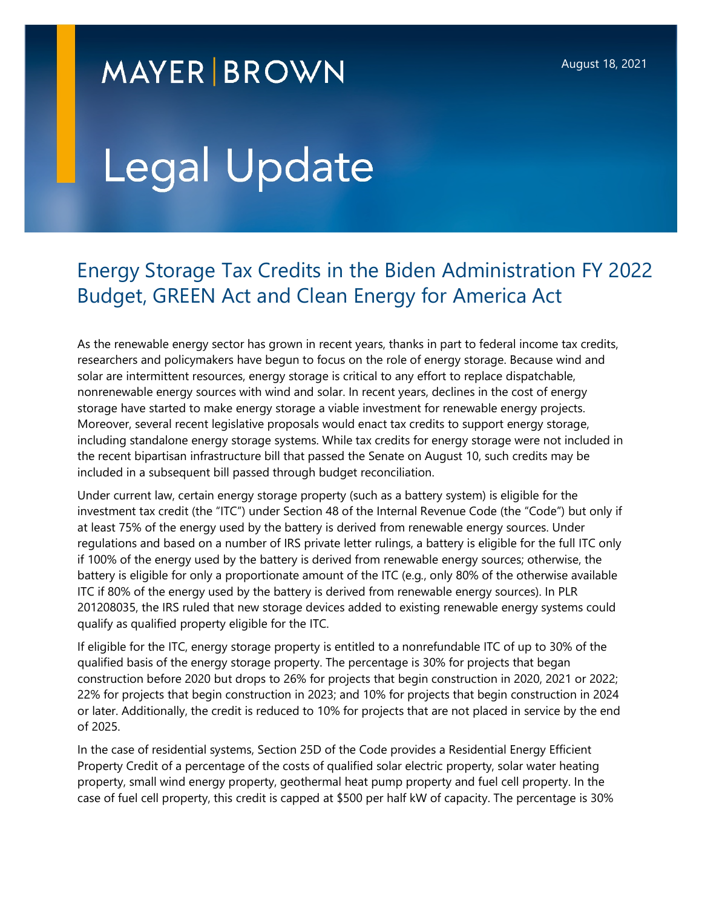## **MAYER BROWN**

## Legal Update

## Energy Storage Tax Credits in the Biden Administration FY 2022 Budget, GREEN Act and Clean Energy for America Act

As the renewable energy sector has grown in recent years, thanks in part to federal income tax credits, researchers and policymakers have begun to focus on the role of energy storage. Because wind and solar are intermittent resources, energy storage is critical to any effort to replace dispatchable, nonrenewable energy sources with wind and solar. In recent years, declines in the cost of energy storage have started to make energy storage a viable investment for renewable energy projects. Moreover, several recent legislative proposals would enact tax credits to support energy storage, including standalone energy storage systems. While tax credits for energy storage were not included in the recent bipartisan infrastructure bill that passed the Senate on August 10, such credits may be included in a subsequent bill passed through budget reconciliation.

Under current law, certain energy storage property (such as a battery system) is eligible for the investment tax credit (the "ITC") under Section 48 of the Internal Revenue Code (the "Code") but only if at least 75% of the energy used by the battery is derived from renewable energy sources. Under regulations and based on a number of IRS private letter rulings, a battery is eligible for the full ITC only if 100% of the energy used by the battery is derived from renewable energy sources; otherwise, the battery is eligible for only a proportionate amount of the ITC (e.g*.*, only 80% of the otherwise available ITC if 80% of the energy used by the battery is derived from renewable energy sources). In PLR 201208035, the IRS ruled that new storage devices added to existing renewable energy systems could qualify as qualified property eligible for the ITC.

If eligible for the ITC, energy storage property is entitled to a nonrefundable ITC of up to 30% of the qualified basis of the energy storage property. The percentage is 30% for projects that began construction before 2020 but drops to 26% for projects that begin construction in 2020, 2021 or 2022; 22% for projects that begin construction in 2023; and 10% for projects that begin construction in 2024 or later. Additionally, the credit is reduced to 10% for projects that are not placed in service by the end of 2025.

In the case of residential systems, Section 25D of the Code provides a Residential Energy Efficient Property Credit of a percentage of the costs of qualified solar electric property, solar water heating property, small wind energy property, geothermal heat pump property and fuel cell property. In the case of fuel cell property, this credit is capped at \$500 per half kW of capacity. The percentage is 30%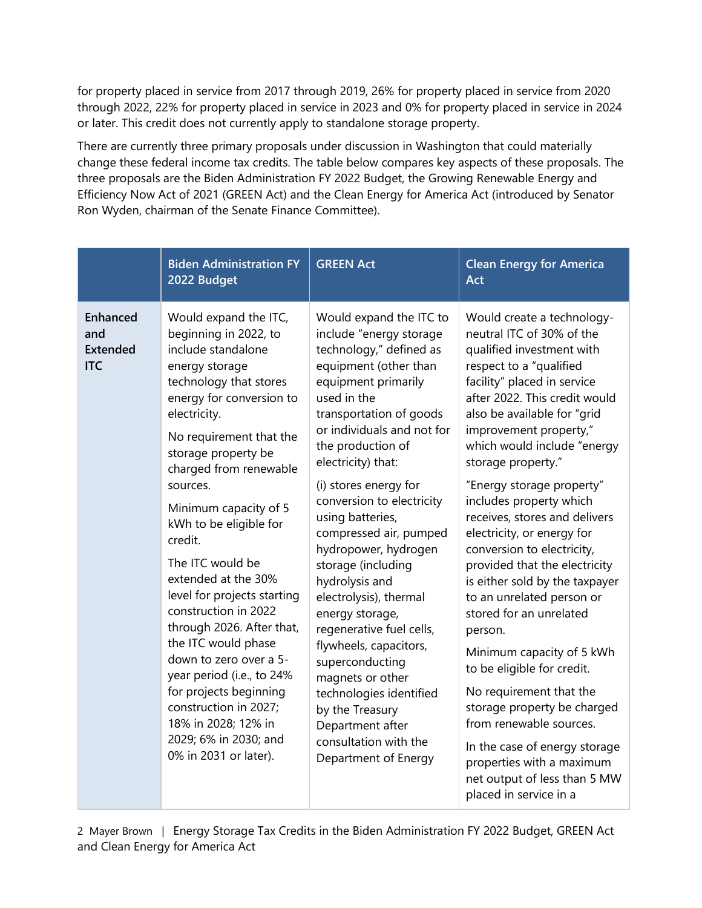for property placed in service from 2017 through 2019, 26% for property placed in service from 2020 through 2022, 22% for property placed in service in 2023 and 0% for property placed in service in 2024 or later. This credit does not currently apply to standalone storage property.

There are currently three primary proposals under discussion in Washington that could materially change these federal income tax credits. The table below compares key aspects of these proposals. The three proposals are the Biden Administration FY 2022 Budget, the Growing Renewable Energy and Efficiency Now Act of 2021 (GREEN Act) and the Clean Energy for America Act (introduced by Senator Ron Wyden, chairman of the Senate Finance Committee).

|                                                         | <b>Biden Administration FY</b><br>2022 Budget                                                                                                                                                                                                                                                                                                                                                                                                                                                                                                                                                                                                               | <b>GREEN Act</b>                                                                                                                                                                                                                                                                                                                                                                                                                                                                                                                                                                                                                                                                  | <b>Clean Energy for America</b><br>Act                                                                                                                                                                                                                                                                                                                                                                                                                                                                                                                                                                                                                                                                                                                                                                                                                           |
|---------------------------------------------------------|-------------------------------------------------------------------------------------------------------------------------------------------------------------------------------------------------------------------------------------------------------------------------------------------------------------------------------------------------------------------------------------------------------------------------------------------------------------------------------------------------------------------------------------------------------------------------------------------------------------------------------------------------------------|-----------------------------------------------------------------------------------------------------------------------------------------------------------------------------------------------------------------------------------------------------------------------------------------------------------------------------------------------------------------------------------------------------------------------------------------------------------------------------------------------------------------------------------------------------------------------------------------------------------------------------------------------------------------------------------|------------------------------------------------------------------------------------------------------------------------------------------------------------------------------------------------------------------------------------------------------------------------------------------------------------------------------------------------------------------------------------------------------------------------------------------------------------------------------------------------------------------------------------------------------------------------------------------------------------------------------------------------------------------------------------------------------------------------------------------------------------------------------------------------------------------------------------------------------------------|
| <b>Enhanced</b><br>and<br><b>Extended</b><br><b>ITC</b> | Would expand the ITC,<br>beginning in 2022, to<br>include standalone<br>energy storage<br>technology that stores<br>energy for conversion to<br>electricity.<br>No requirement that the<br>storage property be<br>charged from renewable<br>sources.<br>Minimum capacity of 5<br>kWh to be eligible for<br>credit.<br>The ITC would be<br>extended at the 30%<br>level for projects starting<br>construction in 2022<br>through 2026. After that,<br>the ITC would phase<br>down to zero over a 5-<br>year period (i.e., to 24%<br>for projects beginning<br>construction in 2027;<br>18% in 2028; 12% in<br>2029; 6% in 2030; and<br>0% in 2031 or later). | Would expand the ITC to<br>include "energy storage<br>technology," defined as<br>equipment (other than<br>equipment primarily<br>used in the<br>transportation of goods<br>or individuals and not for<br>the production of<br>electricity) that:<br>(i) stores energy for<br>conversion to electricity<br>using batteries,<br>compressed air, pumped<br>hydropower, hydrogen<br>storage (including<br>hydrolysis and<br>electrolysis), thermal<br>energy storage,<br>regenerative fuel cells,<br>flywheels, capacitors,<br>superconducting<br>magnets or other<br>technologies identified<br>by the Treasury<br>Department after<br>consultation with the<br>Department of Energy | Would create a technology-<br>neutral ITC of 30% of the<br>qualified investment with<br>respect to a "qualified<br>facility" placed in service<br>after 2022. This credit would<br>also be available for "grid<br>improvement property,"<br>which would include "energy<br>storage property."<br>"Energy storage property"<br>includes property which<br>receives, stores and delivers<br>electricity, or energy for<br>conversion to electricity,<br>provided that the electricity<br>is either sold by the taxpayer<br>to an unrelated person or<br>stored for an unrelated<br>person.<br>Minimum capacity of 5 kWh<br>to be eligible for credit.<br>No requirement that the<br>storage property be charged<br>from renewable sources.<br>In the case of energy storage<br>properties with a maximum<br>net output of less than 5 MW<br>placed in service in a |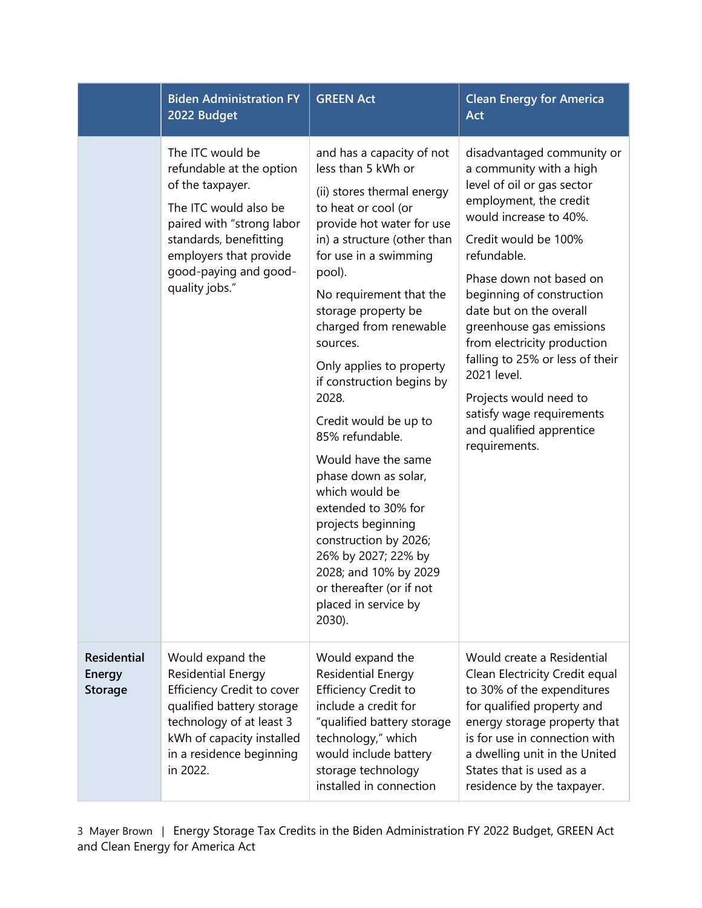|                                                | <b>Biden Administration FY</b><br>2022 Budget                                                                                                                                                                         | <b>GREEN Act</b>                                                                                                                                                                                                                                                                                                                                                                                                                                                                                                                                                                                                                                               | <b>Clean Energy for America</b><br>Act                                                                                                                                                                                                                                                                                                                                                                                                                                             |
|------------------------------------------------|-----------------------------------------------------------------------------------------------------------------------------------------------------------------------------------------------------------------------|----------------------------------------------------------------------------------------------------------------------------------------------------------------------------------------------------------------------------------------------------------------------------------------------------------------------------------------------------------------------------------------------------------------------------------------------------------------------------------------------------------------------------------------------------------------------------------------------------------------------------------------------------------------|------------------------------------------------------------------------------------------------------------------------------------------------------------------------------------------------------------------------------------------------------------------------------------------------------------------------------------------------------------------------------------------------------------------------------------------------------------------------------------|
|                                                | The ITC would be<br>refundable at the option<br>of the taxpayer.<br>The ITC would also be<br>paired with "strong labor<br>standards, benefitting<br>employers that provide<br>good-paying and good-<br>quality jobs." | and has a capacity of not<br>less than 5 kWh or<br>(ii) stores thermal energy<br>to heat or cool (or<br>provide hot water for use<br>in) a structure (other than<br>for use in a swimming<br>pool).<br>No requirement that the<br>storage property be<br>charged from renewable<br>sources.<br>Only applies to property<br>if construction begins by<br>2028.<br>Credit would be up to<br>85% refundable.<br>Would have the same<br>phase down as solar,<br>which would be<br>extended to 30% for<br>projects beginning<br>construction by 2026;<br>26% by 2027; 22% by<br>2028; and 10% by 2029<br>or thereafter (or if not<br>placed in service by<br>2030). | disadvantaged community or<br>a community with a high<br>level of oil or gas sector<br>employment, the credit<br>would increase to 40%.<br>Credit would be 100%<br>refundable.<br>Phase down not based on<br>beginning of construction<br>date but on the overall<br>greenhouse gas emissions<br>from electricity production<br>falling to 25% or less of their<br>2021 level.<br>Projects would need to<br>satisfy wage requirements<br>and qualified apprentice<br>requirements. |
| <b>Residential</b><br>Energy<br><b>Storage</b> | Would expand the<br><b>Residential Energy</b><br>Efficiency Credit to cover<br>qualified battery storage<br>technology of at least 3<br>kWh of capacity installed<br>in a residence beginning<br>in 2022.             | Would expand the<br><b>Residential Energy</b><br><b>Efficiency Credit to</b><br>include a credit for<br>"qualified battery storage<br>technology," which<br>would include battery<br>storage technology<br>installed in connection                                                                                                                                                                                                                                                                                                                                                                                                                             | Would create a Residential<br>Clean Electricity Credit equal<br>to 30% of the expenditures<br>for qualified property and<br>energy storage property that<br>is for use in connection with<br>a dwelling unit in the United<br>States that is used as a<br>residence by the taxpayer.                                                                                                                                                                                               |

3 Mayer Brown | Energy Storage Tax Credits in the Biden Administration FY 2022 Budget, GREEN Act and Clean Energy for America Act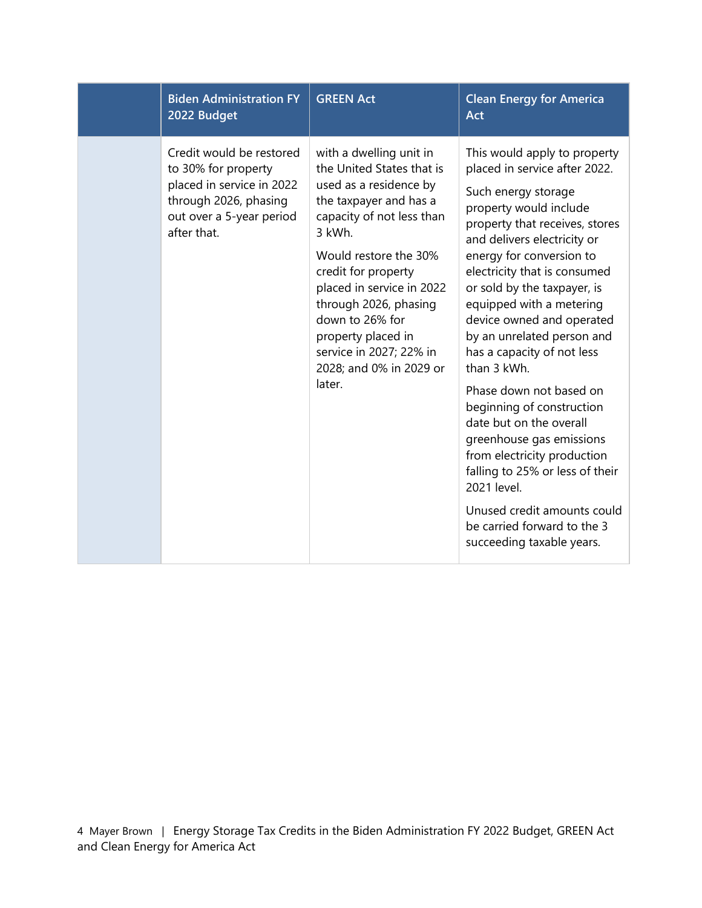| <b>Biden Administration FY</b><br>2022 Budget                                                                                                    | <b>GREEN Act</b>                                                                                                                                                                                                                                                                                                                                               | <b>Clean Energy for America</b><br>Act                                                                                                                                                                                                                                                                                                                                                                                                                                                                                                                                                                                                                                                                    |
|--------------------------------------------------------------------------------------------------------------------------------------------------|----------------------------------------------------------------------------------------------------------------------------------------------------------------------------------------------------------------------------------------------------------------------------------------------------------------------------------------------------------------|-----------------------------------------------------------------------------------------------------------------------------------------------------------------------------------------------------------------------------------------------------------------------------------------------------------------------------------------------------------------------------------------------------------------------------------------------------------------------------------------------------------------------------------------------------------------------------------------------------------------------------------------------------------------------------------------------------------|
| Credit would be restored<br>to 30% for property<br>placed in service in 2022<br>through 2026, phasing<br>out over a 5-year period<br>after that. | with a dwelling unit in<br>the United States that is<br>used as a residence by<br>the taxpayer and has a<br>capacity of not less than<br>3 kWh.<br>Would restore the 30%<br>credit for property<br>placed in service in 2022<br>through 2026, phasing<br>down to 26% for<br>property placed in<br>service in 2027; 22% in<br>2028; and 0% in 2029 or<br>later. | This would apply to property<br>placed in service after 2022.<br>Such energy storage<br>property would include<br>property that receives, stores<br>and delivers electricity or<br>energy for conversion to<br>electricity that is consumed<br>or sold by the taxpayer, is<br>equipped with a metering<br>device owned and operated<br>by an unrelated person and<br>has a capacity of not less<br>than 3 kWh.<br>Phase down not based on<br>beginning of construction<br>date but on the overall<br>greenhouse gas emissions<br>from electricity production<br>falling to 25% or less of their<br>2021 level.<br>Unused credit amounts could<br>be carried forward to the 3<br>succeeding taxable years. |